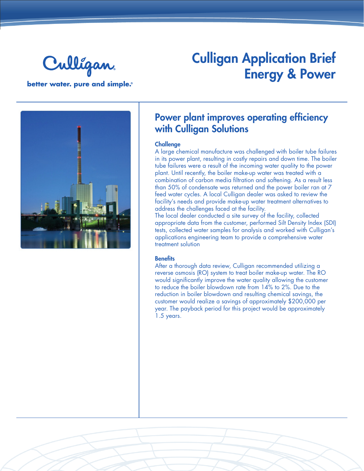

better water. pure and simple.®

## Culligan Application Brief Energy & Power



### Power plant improves operating efficiency with Culligan Solutions

#### **Challenge**

A large chemical manufacture was challenged with boiler tube failures in its power plant, resulting in costly repairs and down time. The boiler tube failures were a result of the incoming water quality to the power plant. Until recently, the boiler make-up water was treated with a combination of carbon media filtration and softening. As a result less than 50% of condensate was returned and the power boiler ran at 7 feed water cycles. A local Culligan dealer was asked to review the facility's needs and provide make-up water treatment alternatives to address the challenges faced at the facility.

The local dealer conducted a site survey of the facility, collected appropriate data from the customer, performed Silt Density Index (SDI) tests, collected water samples for analysis and worked with Culligan's applications engineering team to provide a comprehensive water treatment solution

#### **Benefits**

After a thorough data review, Culligan recommended utilizing a reverse osmosis (RO) system to treat boiler make-up water. The RO would significantly improve the water quality allowing the customer to reduce the boiler blowdown rate from 14% to 2%. Due to the reduction in boiler blowdown and resulting chemical savings, the customer would realize a savings of approximately \$200,000 per year. The payback period for this project would be approximately 1.5 years.